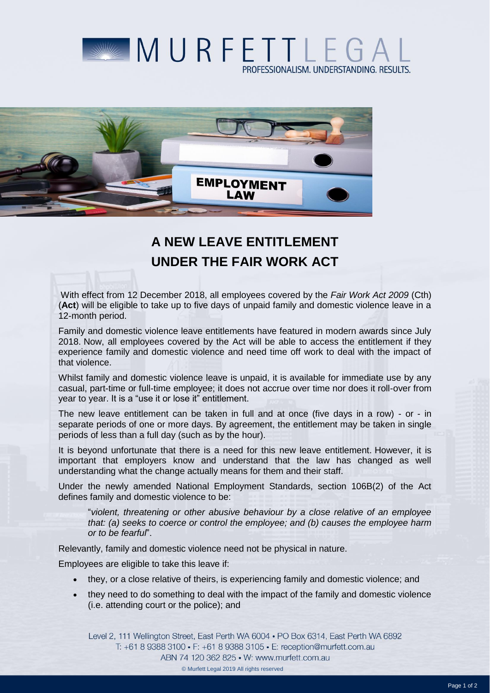



## **A NEW LEAVE ENTITLEMENT UNDER THE FAIR WORK ACT**

With effect from 12 December 2018, all employees covered by the *Fair Work Act 2009* (Cth) (**Act**) will be eligible to take up to five days of unpaid family and domestic violence leave in a 12-month period.

Family and domestic violence leave entitlements have featured in modern awards since July 2018. Now, all employees covered by the Act will be able to access the entitlement if they experience family and domestic violence and need time off work to deal with the impact of that violence.

Whilst family and domestic violence leave is unpaid, it is available for immediate use by any casual, part-time or full-time employee; it does not accrue over time nor does it roll-over from year to year. It is a "use it or lose it" entitlement.

The new leave entitlement can be taken in full and at once (five days in a row) - or - in separate periods of one or more days. By agreement, the entitlement may be taken in single periods of less than a full day (such as by the hour).

It is beyond unfortunate that there is a need for this new leave entitlement. However, it is important that employers know and understand that the law has changed as well understanding what the change actually means for them and their staff.

Under the newly amended National Employment Standards, section 106B(2) of the Act defines family and domestic violence to be:

"*violent, threatening or other abusive behaviour by a close relative of an employee that: (a) seeks to coerce or control the employee; and (b) causes the employee harm or to be fearful*".

Relevantly, family and domestic violence need not be physical in nature.

Employees are eligible to take this leave if:

- they, or a close relative of theirs, is experiencing family and domestic violence; and
- they need to do something to deal with the impact of the family and domestic violence (i.e. attending court or the police); and

Level 2, 111 Wellington Street, East Perth WA 6004 . PO Box 6314, East Perth WA 6892 T: +61 8 9388 3100 • F: +61 8 9388 3105 • E: reception@murfett.com.au ABN 74 120 362 825 • W: www.murfett.com.au © Murfett Legal 2019 All rights reserved